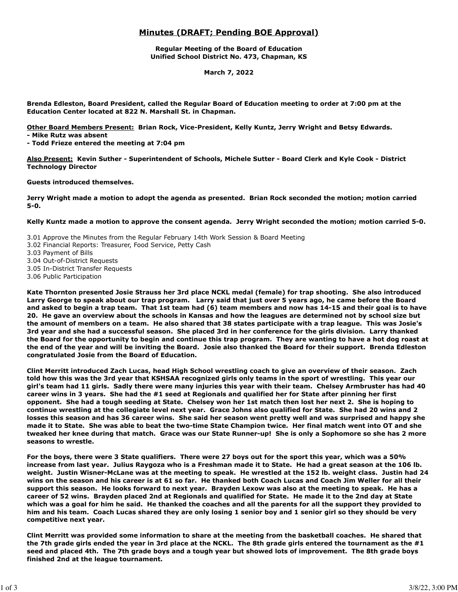# **Minutes (DRAFT; Pending BOE Approval)**

**Regular Meeting of the Board of Education Unified School District No. 473, Chapman, KS**

**March 7, 2022**

**Brenda Edleston, Board President, called the Regular Board of Education meeting to order at 7:00 pm at the Education Center located at 822 N. Marshall St. in Chapman.**

**Other Board Members Present: Brian Rock, Vice-President, Kelly Kuntz, Jerry Wright and Betsy Edwards.** 

**- Mike Rutz was absent**

**- Todd Frieze entered the meeting at 7:04 pm**

**Also Present: Kevin Suther - Superintendent of Schools, Michele Sutter - Board Clerk and Kyle Cook - District Technology Director**

**Guests introduced themselves.**

**Jerry Wright made a motion to adopt the agenda as presented. Brian Rock seconded the motion; motion carried 5-0.**

**Kelly Kuntz made a motion to approve the consent agenda. Jerry Wright seconded the motion; motion carried 5-0.**

3.01 Approve the Minutes from the Regular February 14th Work Session & Board Meeting

- 3.02 Financial Reports: Treasurer, Food Service, Petty Cash
- 3.03 Payment of Bills
- 3.04 Out-of-District Requests
- 3.05 In-District Transfer Requests
- 3.06 Public Participation

**Kate Thornton presented Josie Strauss her 3rd place NCKL medal (female) for trap shooting. She also introduced Larry George to speak about our trap program. Larry said that just over 5 years ago, he came before the Board and asked to begin a trap team. That 1st team had (6) team members and now has 14-15 and their goal is to have 20. He gave an overview about the schools in Kansas and how the leagues are determined not by school size but the amount of members on a team. He also shared that 38 states participate with a trap league. This was Josie's 3rd year and she had a successful season. She placed 3rd in her conference for the girls division. Larry thanked the Board for the opportunity to begin and continue this trap program. They are wanting to have a hot dog roast at the end of the year and will be inviting the Board. Josie also thanked the Board for their support. Brenda Edleston congratulated Josie from the Board of Education.**

**Clint Merritt introduced Zach Lucas, head High School wrestling coach to give an overview of their season. Zach told how this was the 3rd year that KSHSAA recognized girls only teams in the sport of wrestling. This year our girl's team had 11 girls. Sadly there were many injuries this year with their team. Chelsey Armbruster has had 40 career wins in 3 years. She had the #1 seed at Regionals and qualified her for State after pinning her first opponent. She had a tough seeding at State. Chelsey won her 1st match then lost her next 2. She is hoping to continue wrestling at the collegiate level next year. Grace Johns also qualified for State. She had 20 wins and 2 losses this season and has 36 career wins. She said her season went pretty well and was surprised and happy she made it to State. She was able to beat the two-time State Champion twice. Her final match went into OT and she tweaked her knee during that match. Grace was our State Runner-up! She is only a Sophomore so she has 2 more seasons to wrestle.**

**For the boys, there were 3 State qualifiers. There were 27 boys out for the sport this year, which was a 50% increase from last year. Julius Raygoza who is a Freshman made it to State. He had a great season at the 106 lb. weight. Justin Wisner-McLane was at the meeting to speak. He wrestled at the 152 lb. weight class. Justin had 24 wins on the season and his career is at 61 so far. He thanked both Coach Lucas and Coach Jim Weller for all their support this season. He looks forward to next year. Brayden Lexow was also at the meeting to speak. He has a career of 52 wins. Brayden placed 2nd at Regionals and qualified for State. He made it to the 2nd day at State which was a goal for him he said. He thanked the coaches and all the parents for all the support they provided to him and his team. Coach Lucas shared they are only losing 1 senior boy and 1 senior girl so they should be very competitive next year.**

**Clint Merritt was provided some information to share at the meeting from the basketball coaches. He shared that the 7th grade girls ended the year in 3rd place at the NCKL. The 8th grade girls entered the tournament as the #1 seed and placed 4th. The 7th grade boys and a tough year but showed lots of improvement. The 8th grade boys finished 2nd at the league tournament.**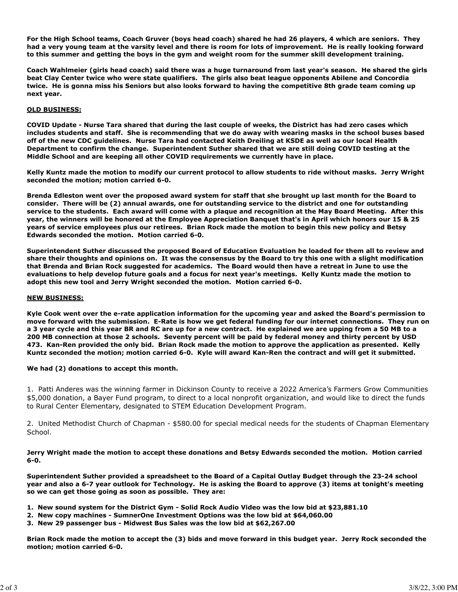**For the High School teams, Coach Gruver (boys head coach) shared he had 26 players, 4 which are seniors. They had a very young team at the varsity level and there is room for lots of improvement. He is really looking forward to this summer and getting the boys in the gym and weight room for the summer skill development training.**

**Coach Wahlmeier (girls head coach) said there was a huge turnaround from last year's season. He shared the girls beat Clay Center twice who were state qualifiers. The girls also beat league opponents Abilene and Concordia twice. He is gonna miss his Seniors but also looks forward to having the competitive 8th grade team coming up next year.**

# **OLD BUSINESS:**

**COVID Update - Nurse Tara shared that during the last couple of weeks, the District has had zero cases which includes students and staff. She is recommending that we do away with wearing masks in the school buses based off of the new CDC guidelines. Nurse Tara had contacted Keith Dreiling at KSDE as well as our local Health Department to confirm the change. Superintendent Suther shared that we are still doing COVID testing at the Middle School and are keeping all other COVID requirements we currently have in place.**

**Kelly Kuntz made the motion to modify our current protocol to allow students to ride without masks. Jerry Wright seconded the motion; motion carried 6-0.**

**Brenda Edleston went over the proposed award system for staff that she brought up last month for the Board to consider. There will be (2) annual awards, one for outstanding service to the district and one for outstanding service to the students. Each award will come with a plaque and recognition at the May Board Meeting. After this year, the winners will be honored at the Employee Appreciation Banquet that's in April which honors our 15 & 25 years of service employees plus our retirees. Brian Rock made the motion to begin this new policy and Betsy Edwards seconded the motion. Motion carried 6-0.**

**Superintendent Suther discussed the proposed Board of Education Evaluation he loaded for them all to review and share their thoughts and opinions on. It was the consensus by the Board to try this one with a slight modification that Brenda and Brian Rock suggested for academics. The Board would then have a retreat in June to use the evaluations to help develop future goals and a focus for next year's meetings. Kelly Kuntz made the motion to adopt this new tool and Jerry Wright seconded the motion. Motion carried 6-0.**

### **NEW BUSINESS:**

**Kyle Cook went over the e-rate application information for the upcoming year and asked the Board's permission to move forward with the submission. E-Rate is how we get federal funding for our internet connections. They run on a 3 year cycle and this year BR and RC are up for a new contract. He explained we are upping from a 50 MB to a 200 MB connection at those 2 schools. Seventy percent will be paid by federal money and thirty percent by USD 473. Kan-Ren provided the only bid. Brian Rock made the motion to approve the application as presented. Kelly Kuntz seconded the motion; motion carried 6-0. Kyle will award Kan-Ren the contract and will get it submitted.**

# **We had (2) donations to accept this month.**

1. Patti Anderes was the winning farmer in Dickinson County to receive a 2022 America's Farmers Grow Communities \$5,000 donation, a Bayer Fund program, to direct to a local nonprofit organization, and would like to direct the funds to Rural Center Elementary, designated to STEM Education Development Program.

2. United Methodist Church of Chapman - \$580.00 for special medical needs for the students of Chapman Elementary School.

**Jerry Wright made the motion to accept these donations and Betsy Edwards seconded the motion. Motion carried 6-0.**

**Superintendent Suther provided a spreadsheet to the Board of a Capital Outlay Budget through the 23-24 school year and also a 6-7 year outlook for Technology. He is asking the Board to approve (3) items at tonight's meeting so we can get those going as soon as possible. They are:**

- **1. New sound system for the District Gym Solid Rock Audio Video was the low bid at \$23,881.10**
- **2. New copy machines SumnerOne Investment Options was the low bid at \$64,060.00**
- **3. New 29 passenger bus Midwest Bus Sales was the low bid at \$62,267.00**

**Brian Rock made the motion to accept the (3) bids and move forward in this budget year. Jerry Rock seconded the motion; motion carried 6-0.**